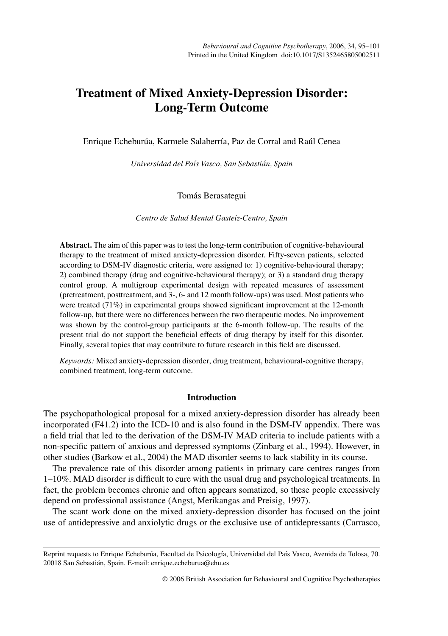# **Treatment of Mixed Anxiety-Depression Disorder: Long-Term Outcome**

Enrique Echeburúa, Karmele Salaberría, Paz de Corral and Raúl Cenea

*Universidad del Pa´ıs Vasco, San Sebastian, Spain ´*

## Tomás Berasategui

*Centro de Salud Mental Gasteiz-Centro, Spain*

**Abstract.** The aim of this paper was to test the long-term contribution of cognitive-behavioural therapy to the treatment of mixed anxiety-depression disorder. Fifty-seven patients, selected according to DSM-IV diagnostic criteria, were assigned to: 1) cognitive-behavioural therapy; 2) combined therapy (drug and cognitive-behavioural therapy); or 3) a standard drug therapy control group. A multigroup experimental design with repeated measures of assessment (pretreatment, posttreatment, and 3-, 6- and 12 month follow-ups) was used. Most patients who were treated (71%) in experimental groups showed significant improvement at the 12-month follow-up, but there were no differences between the two therapeutic modes. No improvement was shown by the control-group participants at the 6-month follow-up. The results of the present trial do not support the beneficial effects of drug therapy by itself for this disorder. Finally, several topics that may contribute to future research in this field are discussed.

*Keywords:* Mixed anxiety-depression disorder, drug treatment, behavioural-cognitive therapy, combined treatment, long-term outcome.

## **Introduction**

The psychopathological proposal for a mixed anxiety-depression disorder has already been incorporated (F41.2) into the ICD-10 and is also found in the DSM-IV appendix. There was a field trial that led to the derivation of the DSM-IV MAD criteria to include patients with a non-specific pattern of anxious and depressed symptoms (Zinbarg et al., 1994). However, in other studies (Barkow et al., 2004) the MAD disorder seems to lack stability in its course.

The prevalence rate of this disorder among patients in primary care centres ranges from 1–10%. MAD disorder is difficult to cure with the usual drug and psychological treatments. In fact, the problem becomes chronic and often appears somatized, so these people excessively depend on professional assistance (Angst, Merikangas and Preisig, 1997).

The scant work done on the mixed anxiety-depression disorder has focused on the joint use of antidepressive and anxiolytic drugs or the exclusive use of antidepressants (Carrasco,

Reprint requests to Enrique Echeburúa, Facultad de Psicología, Universidad del País Vasco, Avenida de Tolosa, 70. 20018 San Sebastian, Spain. E-mail: enrique.echeburua@ehu.es ´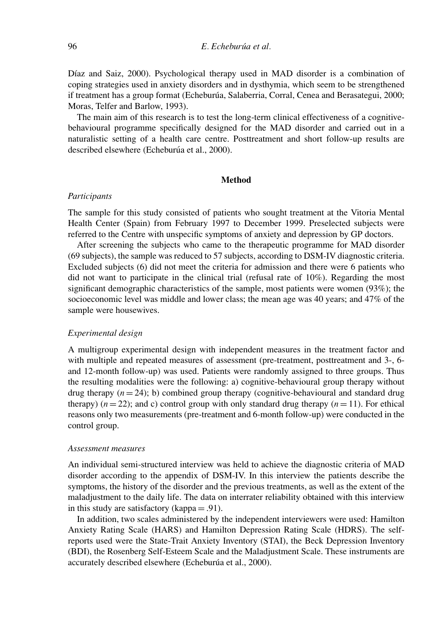Díaz and Saiz, 2000). Psychological therapy used in MAD disorder is a combination of coping strategies used in anxiety disorders and in dysthymia, which seem to be strengthened if treatment has a group format (Echeburúa, Salaberria, Corral, Cenea and Berasategui, 2000; Moras, Telfer and Barlow, 1993).

The main aim of this research is to test the long-term clinical effectiveness of a cognitivebehavioural programme specifically designed for the MAD disorder and carried out in a naturalistic setting of a health care centre. Posttreatment and short follow-up results are described elsewhere (Echeburúa et al., 2000).

#### **Method**

#### *Participants*

The sample for this study consisted of patients who sought treatment at the Vitoria Mental Health Center (Spain) from February 1997 to December 1999. Preselected subjects were referred to the Centre with unspecific symptoms of anxiety and depression by GP doctors.

After screening the subjects who came to the therapeutic programme for MAD disorder (69 subjects), the sample was reduced to 57 subjects, according to DSM-IV diagnostic criteria. Excluded subjects (6) did not meet the criteria for admission and there were 6 patients who did not want to participate in the clinical trial (refusal rate of 10%). Regarding the most significant demographic characteristics of the sample, most patients were women (93%); the socioeconomic level was middle and lower class; the mean age was 40 years; and 47% of the sample were housewives.

## *Experimental design*

A multigroup experimental design with independent measures in the treatment factor and with multiple and repeated measures of assessment (pre-treatment, posttreatment and 3-, 6 and 12-month follow-up) was used. Patients were randomly assigned to three groups. Thus the resulting modalities were the following: a) cognitive-behavioural group therapy without drug therapy  $(n=24)$ ; b) combined group therapy (cognitive-behavioural and standard drug therapy)  $(n = 22)$ ; and c) control group with only standard drug therapy  $(n = 11)$ . For ethical reasons only two measurements (pre-treatment and 6-month follow-up) were conducted in the control group.

#### *Assessment measures*

An individual semi-structured interview was held to achieve the diagnostic criteria of MAD disorder according to the appendix of DSM-IV. In this interview the patients describe the symptoms, the history of the disorder and the previous treatments, as well as the extent of the maladjustment to the daily life. The data on interrater reliability obtained with this interview in this study are satisfactory (kappa  $= .91$ ).

In addition, two scales administered by the independent interviewers were used: Hamilton Anxiety Rating Scale (HARS) and Hamilton Depression Rating Scale (HDRS). The selfreports used were the State-Trait Anxiety Inventory (STAI), the Beck Depression Inventory (BDI), the Rosenberg Self-Esteem Scale and the Maladjustment Scale. These instruments are accurately described elsewhere (Echeburúa et al., 2000).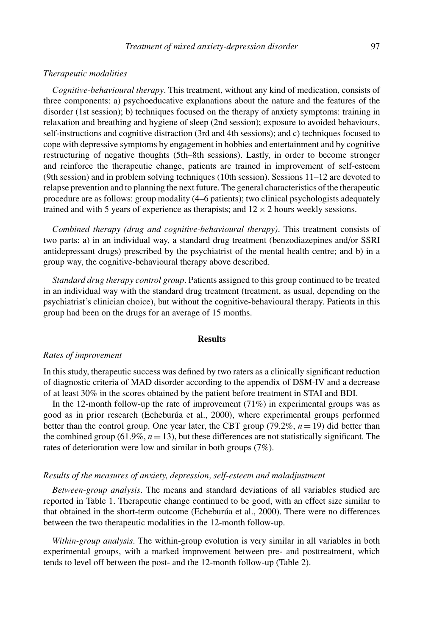#### *Therapeutic modalities*

*Cognitive-behavioural therapy*. This treatment, without any kind of medication, consists of three components: a) psychoeducative explanations about the nature and the features of the disorder (1st session); b) techniques focused on the therapy of anxiety symptoms: training in relaxation and breathing and hygiene of sleep (2nd session); exposure to avoided behaviours, self-instructions and cognitive distraction (3rd and 4th sessions); and c) techniques focused to cope with depressive symptoms by engagement in hobbies and entertainment and by cognitive restructuring of negative thoughts (5th–8th sessions). Lastly, in order to become stronger and reinforce the therapeutic change, patients are trained in improvement of self-esteem (9th session) and in problem solving techniques (10th session). Sessions 11–12 are devoted to relapse prevention and to planning the next future. The general characteristics of the therapeutic procedure are as follows: group modality (4–6 patients); two clinical psychologists adequately trained and with 5 years of experience as therapists; and  $12 \times 2$  hours weekly sessions.

*Combined therapy (drug and cognitive-behavioural therapy)*. This treatment consists of two parts: a) in an individual way, a standard drug treatment (benzodiazepines and/or SSRI antidepressant drugs) prescribed by the psychiatrist of the mental health centre; and b) in a group way, the cognitive-behavioural therapy above described.

*Standard drug therapy control group*. Patients assigned to this group continued to be treated in an individual way with the standard drug treatment (treatment, as usual, depending on the psychiatrist's clinician choice), but without the cognitive-behavioural therapy. Patients in this group had been on the drugs for an average of 15 months.

#### **Results**

## *Rates of improvement*

In this study, therapeutic success was defined by two raters as a clinically significant reduction of diagnostic criteria of MAD disorder according to the appendix of DSM-IV and a decrease of at least 30% in the scores obtained by the patient before treatment in STAI and BDI.

In the 12-month follow-up the rate of improvement  $(71%)$  in experimental groups was as good as in prior research (Echeburúa et al., 2000), where experimental groups performed better than the control group. One year later, the CBT group  $(79.2\%, n=19)$  did better than the combined group  $(61.9\%, n=13)$ , but these differences are not statistically significant. The rates of deterioration were low and similar in both groups (7%).

## *Results of the measures of anxiety, depression, self-esteem and maladjustment*

*Between-group analysis*. The means and standard deviations of all variables studied are reported in Table 1. Therapeutic change continued to be good, with an effect size similar to that obtained in the short-term outcome (Echeburúa et al., 2000). There were no differences between the two therapeutic modalities in the 12-month follow-up.

*Within-group analysis*. The within-group evolution is very similar in all variables in both experimental groups, with a marked improvement between pre- and posttreatment, which tends to level off between the post- and the 12-month follow-up (Table 2).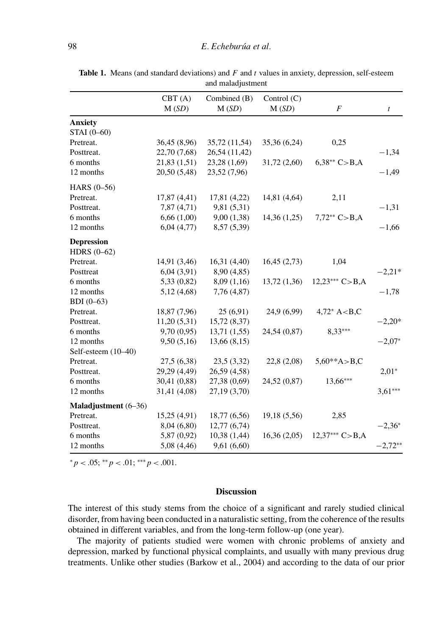|                      | CBT(A)<br>M(SD) | Combined (B)<br>M(SD) | Control (C)<br>M(SD) | $\boldsymbol{F}$    | $\boldsymbol{t}$ |
|----------------------|-----------------|-----------------------|----------------------|---------------------|------------------|
| <b>Anxiety</b>       |                 |                       |                      |                     |                  |
| STAI (0-60)          |                 |                       |                      |                     |                  |
| Pretreat.            | 36,45 (8,96)    | 35,72 (11,54)         | 35,36 (6,24)         | 0,25                |                  |
| Posttreat.           | 22,70 (7,68)    | 26,54 (11,42)         |                      |                     | $-1,34$          |
| 6 months             | 21,83(1,51)     | 23,28 (1,69)          | 31,72 (2,60)         | $6,38**C>B,A$       |                  |
| 12 months            | 20,50 (5,48)    | 23,52 (7,96)          |                      |                     | $-1,49$          |
| HARS (0-56)          |                 |                       |                      |                     |                  |
| Pretreat.            | 17,87(4,41)     | 17,81 (4,22)          | 14,81 (4,64)         | 2,11                |                  |
| Posttreat.           | 7,87(4,71)      | 9,81(5,31)            |                      |                     | $-1,31$          |
| 6 months             | 6,66(1,00)      | 9,00(1,38)            | 14,36(1,25)          | $7.72**C>B.A$       |                  |
| 12 months            | 6,04(4,77)      | 8,57 (5,39)           |                      |                     | $-1,66$          |
| <b>Depression</b>    |                 |                       |                      |                     |                  |
| HDRS $(0-62)$        |                 |                       |                      |                     |                  |
| Pretreat.            | 14,91 (3,46)    | 16,31(4,40)           | 16,45(2,73)          | 1,04                |                  |
| Posttreat            | 6,04(3,91)      | 8,90 (4,85)           |                      |                     | $-2,21*$         |
| 6 months             | 5,33(0,82)      | 8,09(1,16)            | 13,72(1,36)          | $12,23***$ C>B,A    |                  |
| 12 months            | 5,12 (4,68)     | 7,76 (4,87)           |                      |                     | $-1,78$          |
| BDI (0-63)           |                 |                       |                      |                     |                  |
| Pretreat.            | 18,87 (7,96)    | 25 (6,91)             | 24,9 (6,99)          | $4,72^*$ A < B, C   |                  |
| Posttreat.           | 11,20(5,31)     | 15,72(8,37)           |                      |                     | $-2,20*$         |
| 6 months             | 9,70(0,95)      | 13,71(1,55)           | 24,54 (0,87)         | $8,33***$           |                  |
| 12 months            | 9,50(5,16)      | 13,66(8,15)           |                      |                     | $-2,07*$         |
| Self-esteem (10-40)  |                 |                       |                      |                     |                  |
| Pretreat.            | 27,5 (6,38)     | 23,5(3,32)            | 22,8 (2,08)          | $5,60**A\!\!>\!B.C$ |                  |
| Posttreat.           | 29,29 (4,49)    | 26,59 (4,58)          |                      |                     | $2,01*$          |
| 6 months             | 30,41 (0,88)    | 27,38 (0,69)          | 24,52 (0,87)         | 13,66***            |                  |
| 12 months            | 31,41 (4,08)    | 27,19 (3,70)          |                      |                     | $3,61***$        |
| Maladjustment (6-36) |                 |                       |                      |                     |                  |
| Pretreat.            | 15,25(4,91)     | 18,77 (6,56)          | 19,18 (5,56)         | 2,85                |                  |
| Posttreat.           | 8,04(6,80)      | 12,77(6,74)           |                      |                     | $-2,36*$         |
| 6 months             | 5,87 (0,92)     | 10,38(1,44)           | 16,36(2,05)          | $12,37***$ C>B,A    |                  |
| 12 months            | 5,08 (4,46)     | 9,61(6,60)            |                      |                     | $-2,72**$        |

**Table 1.** Means (and standard deviations) and *F* and *t* values in anxiety, depression, self-esteem and maladjustment

<sup>∗</sup>*p<.*05; ∗∗*p<.*01; ∗∗∗*p <* .001.

## **Discussion**

The interest of this study stems from the choice of a significant and rarely studied clinical disorder, from having been conducted in a naturalistic setting, from the coherence of the results obtained in different variables, and from the long-term follow-up (one year).

The majority of patients studied were women with chronic problems of anxiety and depression, marked by functional physical complaints, and usually with many previous drug treatments. Unlike other studies (Barkow et al., 2004) and according to the data of our prior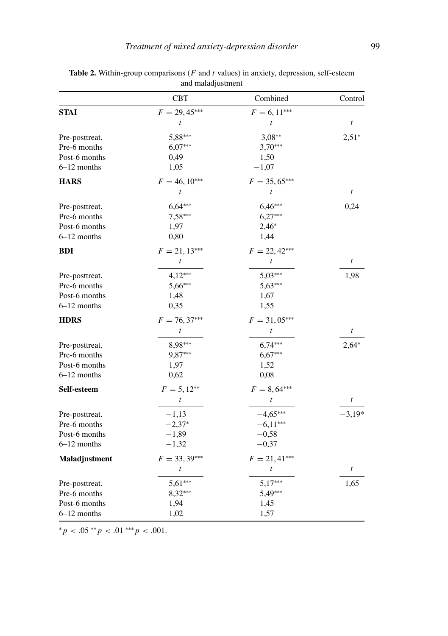|                | <b>CBT</b>         | Combined         | Control          |
|----------------|--------------------|------------------|------------------|
| <b>STAI</b>    | $F = 29,45***$     | $F = 6,11***$    |                  |
|                | t                  | $\boldsymbol{t}$ | t                |
| Pre-posttreat. | 5,88***            | $3,08**$         | $2,51*$          |
| Pre-6 months   | $6,07***$          | $3,70***$        |                  |
| Post-6 months  | 0,49               | 1,50             |                  |
| $6-12$ months  | 1,05               | $-1,07$          |                  |
| <b>HARS</b>    | $F = 46, 10^{***}$ | $F = 35,65***$   |                  |
|                | t                  | t                | t                |
| Pre-posttreat. | $6,64***$          | $6,46***$        | 0,24             |
| Pre-6 months   | $7,58***$          | $6,27***$        |                  |
| Post-6 months  | 1,97               | $2,46*$          |                  |
| $6-12$ months  | 0,80               | 1,44             |                  |
| <b>BDI</b>     | $F = 21, 13***$    | $F = 22, 42***$  |                  |
|                | t                  | t                | t                |
| Pre-posttreat. | $4,12***$          | $5,03***$        | 1,98             |
| Pre-6 months   | $5,66***$          | $5,63***$        |                  |
| Post-6 months  | 1,48               | 1,67             |                  |
| $6-12$ months  | 0,35               | 1,55             |                  |
| <b>HDRS</b>    | $F = 76,37***$     | $F = 31,05***$   |                  |
|                | $\boldsymbol{t}$   | $\boldsymbol{t}$ | $\boldsymbol{t}$ |
| Pre-posttreat. | 8,98***            | $6,74***$        | $2,64*$          |
| Pre-6 months   | 9,87***            | $6,67***$        |                  |
| Post-6 months  | 1,97               | 1,52             |                  |
| $6-12$ months  | 0,62               | 0,08             |                  |
| Self-esteem    | $F = 5,12^{**}$    | $F = 8,64***$    |                  |
|                | $\boldsymbol{t}$   | $\boldsymbol{t}$ | $\boldsymbol{t}$ |
| Pre-posttreat. | $-1,13$            | $-4,65***$       | $-3,19*$         |
| Pre-6 months   | $-2,37*$           | $-6,11***$       |                  |
| Post-6 months  | $-1,89$            | $-0,58$          |                  |
| $6-12$ months  | $-1,32$            | $-0,37$          |                  |
| Maladjustment  | $F = 33,39***$     | $F = 21,41***$   |                  |
|                | $\boldsymbol{t}$   | $\boldsymbol{t}$ | $\boldsymbol{t}$ |
| Pre-posttreat. | 5,61***            | $5,17***$        | 1,65             |
| Pre-6 months   | 8,32***            | 5,49***          |                  |
| Post-6 months  | 1,94               | 1,45             |                  |
| $6-12$ months  | 1,02               | 1,57             |                  |

**Table 2.** Within-group comparisons (*F* and *t* values) in anxiety, depression, self-esteem and maladjustment

 ${}^*p < .05 \cdot {}^{**}p < .01 \cdot {}^{***}p < .001$ .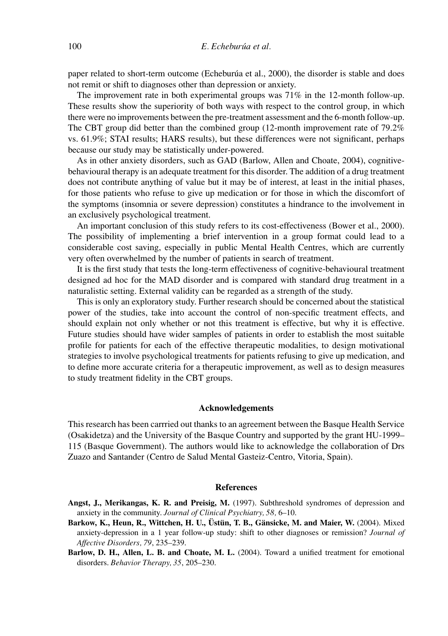paper related to short-term outcome (Echeburúa et al., 2000), the disorder is stable and does not remit or shift to diagnoses other than depression or anxiety.

The improvement rate in both experimental groups was  $71\%$  in the 12-month follow-up. These results show the superiority of both ways with respect to the control group, in which there were no improvements between the pre-treatment assessment and the 6-month follow-up. The CBT group did better than the combined group (12-month improvement rate of 79.2% vs. 61.9%; STAI results; HARS results), but these differences were not significant, perhaps because our study may be statistically under-powered.

As in other anxiety disorders, such as GAD (Barlow, Allen and Choate, 2004), cognitivebehavioural therapy is an adequate treatment for this disorder. The addition of a drug treatment does not contribute anything of value but it may be of interest, at least in the initial phases, for those patients who refuse to give up medication or for those in which the discomfort of the symptoms (insomnia or severe depression) constitutes a hindrance to the involvement in an exclusively psychological treatment.

An important conclusion of this study refers to its cost-effectiveness (Bower et al., 2000). The possibility of implementing a brief intervention in a group format could lead to a considerable cost saving, especially in public Mental Health Centres, which are currently very often overwhelmed by the number of patients in search of treatment.

It is the first study that tests the long-term effectiveness of cognitive-behavioural treatment designed ad hoc for the MAD disorder and is compared with standard drug treatment in a naturalistic setting. External validity can be regarded as a strength of the study.

This is only an exploratory study. Further research should be concerned about the statistical power of the studies, take into account the control of non-specific treatment effects, and should explain not only whether or not this treatment is effective, but why it is effective. Future studies should have wider samples of patients in order to establish the most suitable profile for patients for each of the effective therapeutic modalities, to design motivational strategies to involve psychological treatments for patients refusing to give up medication, and to define more accurate criteria for a therapeutic improvement, as well as to design measures to study treatment fidelity in the CBT groups.

# **Acknowledgements**

This research has been carrried out thanks to an agreement between the Basque Health Service (Osakidetza) and the University of the Basque Country and supported by the grant HU-1999– 115 (Basque Government). The authors would like to acknowledge the collaboration of Drs Zuazo and Santander (Centro de Salud Mental Gasteiz-Centro, Vitoria, Spain).

#### **References**

- **Angst, J., Merikangas, K. R. and Preisig, M.** (1997). Subthreshold syndromes of depression and anxiety in the community. *Journal of Clinical Psychiatry, 58,* 6–10.
- **Barkow, K., Heun, R., Wittchen, H. U., Üstün, T. B., Gänsicke, M. and Maier, W. (2004). Mixed** anxiety-depression in a 1 year follow-up study: shift to other diagnoses or remission? *Journal of Affective Disorders, 79*, 235–239.
- **Barlow, D. H., Allen, L. B. and Choate, M. L.** (2004). Toward a unified treatment for emotional disorders. *Behavior Therapy, 35*, 205–230.